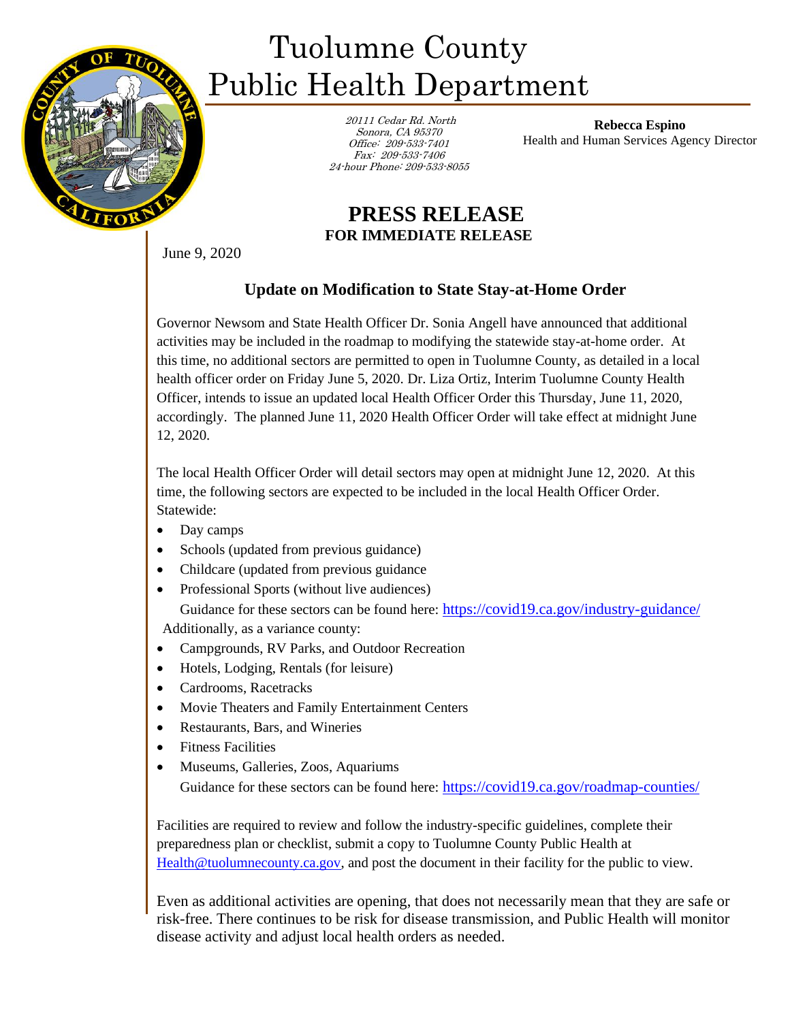

## Tuolumne County Public Health Department

 20111 Cedar Rd. North Sonora, CA 95370 Office: 209-533-7401 Fax: 209-533-7406 24-hour Phone: 209-533-8055

**Rebecca Espino** Health and Human Services Agency Director

## **PRESS RELEASE FOR IMMEDIATE RELEASE**

June 9, 2020

## **Update on Modification to State Stay-at-Home Order**

Governor Newsom and State Health Officer Dr. Sonia Angell have announced that additional activities may be included in the roadmap to modifying the statewide stay-at-home order. At this time, no additional sectors are permitted to open in Tuolumne County, as detailed in a local health officer order on Friday June 5, 2020. Dr. Liza Ortiz, Interim Tuolumne County Health Officer, intends to issue an updated local Health Officer Order this Thursday, June 11, 2020, accordingly. The planned June 11, 2020 Health Officer Order will take effect at midnight June 12, 2020.

The local Health Officer Order will detail sectors may open at midnight June 12, 2020. At this time, the following sectors are expected to be included in the local Health Officer Order. Statewide:

- Day camps
- Schools (updated from previous guidance)
- Childcare (updated from previous guidance
- Professional Sports (without live audiences) Guidance for these sectors can be found here: <https://covid19.ca.gov/industry-guidance/> Additionally, as a variance county:
- Campgrounds, RV Parks, and Outdoor Recreation
- Hotels, Lodging, Rentals (for leisure)
- Cardrooms, Racetracks
- Movie Theaters and Family Entertainment Centers
- Restaurants, Bars, and Wineries
- Fitness Facilities
- Museums, Galleries, Zoos, Aquariums Guidance for these sectors can be found here: <https://covid19.ca.gov/roadmap-counties/>

Facilities are required to review and follow the industry-specific guidelines, complete their preparedness plan or checklist, submit a copy to Tuolumne County Public Health at [Health@tuolumnecounty.ca.gov,](mailto:Health@tuolumnecounty.ca.gov) and post the document in their facility for the public to view.

Even as additional activities are opening, that does not necessarily mean that they are safe or risk-free. There continues to be risk for disease transmission, and Public Health will monitor disease activity and adjust local health orders as needed.